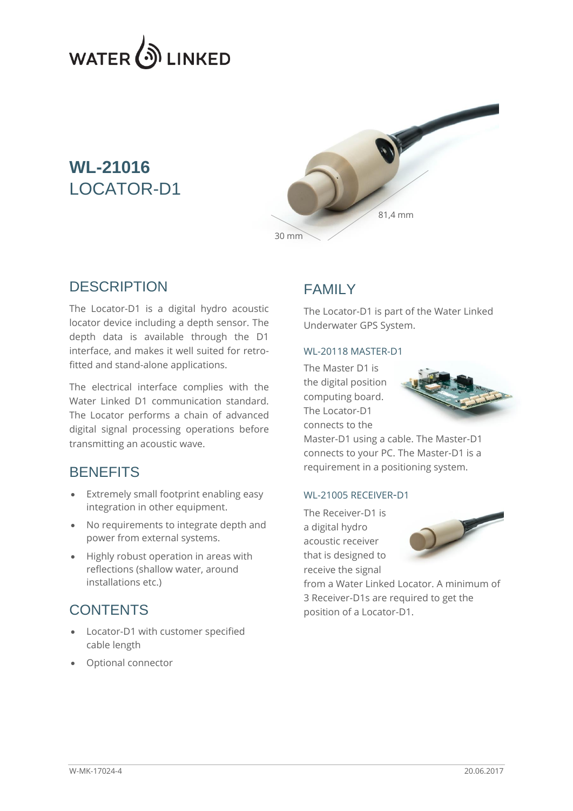

# **WL-21016** LOCATOR-D1



#### **DESCRIPTION**

The Locator-D1 is a digital hydro acoustic locator device including a depth sensor. The depth data is available through the D1 interface, and makes it well suited for retrofitted and stand-alone applications.

The electrical interface complies with the Water Linked D1 communication standard. The Locator performs a chain of advanced digital signal processing operations before transmitting an acoustic wave.

#### **BENEFITS**

- Extremely small footprint enabling easy integration in other equipment.
- No requirements to integrate depth and power from external systems.
- Highly robust operation in areas with reflections (shallow water, around installations etc.)

#### **CONTENTS**

- Locator-D1 with customer specified cable length
- Optional connector

### FAMILY

The Locator-D1 is part of the Water Linked Underwater GPS System.

#### WL-20118 MASTER-D1

The Master D1 is the digital position computing board. The Locator-D1 connects to the



Master-D1 using a cable. The Master-D1 connects to your PC. The Master-D1 is a requirement in a positioning system.

#### WL-21005 RECEIVER-D1

The Receiver-D1 is a digital hydro acoustic receiver that is designed to receive the signal



from a Water Linked Locator. A minimum of 3 Receiver-D1s are required to get the position of a Locator-D1.